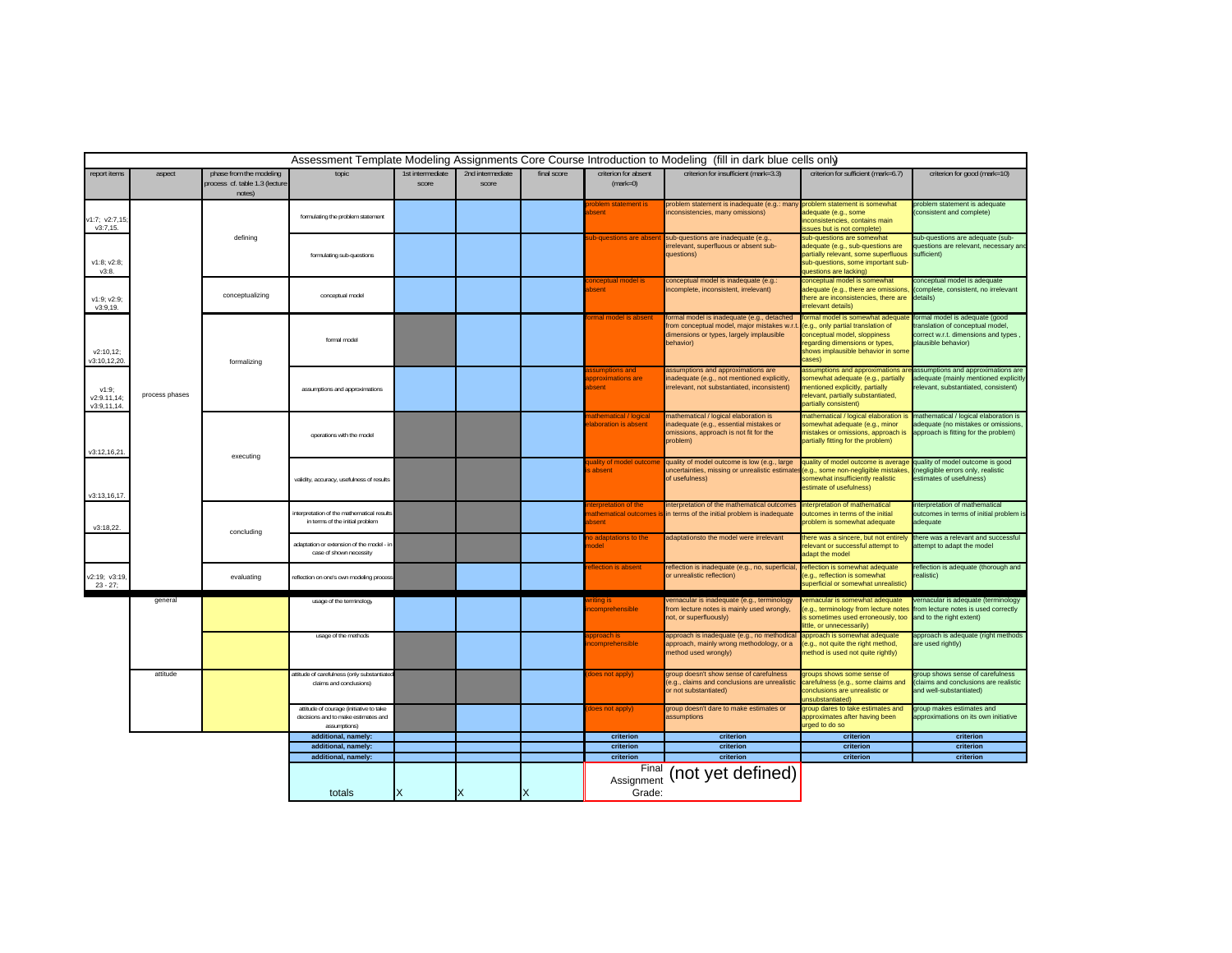|                                    |                |                                                                     |                                                                                                |                           |                           |             |                                                     | Assessment Template Modeling Assignments Core Course Introduction to Modeling (fill in dark blue cells only)                                      |                                                                                                                                                                                          |                                                                                                                                  |
|------------------------------------|----------------|---------------------------------------------------------------------|------------------------------------------------------------------------------------------------|---------------------------|---------------------------|-------------|-----------------------------------------------------|---------------------------------------------------------------------------------------------------------------------------------------------------|------------------------------------------------------------------------------------------------------------------------------------------------------------------------------------------|----------------------------------------------------------------------------------------------------------------------------------|
| report items                       | aspect         | phase from the modeling<br>process cf. table 1.3 (lecture<br>notes) | topic                                                                                          | 1st intermediate<br>score | 2nd intermediate<br>score | final score | criterion for absent<br>$(maxk=0)$                  | criterion for insufficient (mark=3.3)                                                                                                             | criterion for sufficient (mark=6.7)                                                                                                                                                      | criterion for good (mark=10)                                                                                                     |
| v1:7; v2:7,15<br>v3:7,15.          |                |                                                                     | formulating the problem statement                                                              |                           |                           |             | oblem statement is<br>hsent                         | problem statement is inadequate (e.g.: man<br>nconsistencies, many omissions)                                                                     | problem statement is somewhat<br>dequate (e.g., some<br>nconsistencies, contains main<br>sues but is not complete)                                                                       | problem statement is adequate<br>(consistent and complete)                                                                       |
| v1:8; v2:8;<br>V3:8.               |                | defining                                                            | formulating sub-questions                                                                      |                           |                           |             | ub-questions are absent                             | sub-questions are inadequate (e.g.,<br>rrelevant, superfluous or absent sub-<br>questions)                                                        | sub-questions are somewhat<br>dequate (e.g., sub-questions are<br>partially relevant, some superfluous<br>ub-questions, some important sub-<br>luestions are lacking                     | sub-questions are adequate (sub-<br>questions are relevant, necessary and<br>sufficient)                                         |
| v1:9; v2:9;<br>v3:9,19.            |                | conceptualizing                                                     | conceptual model                                                                               |                           |                           |             | nceptual model is<br>bsent                          | conceptual model is inadequate (e.g.:<br>ncomplete, inconsistent, irrelevant)                                                                     | onceptual model is somewhat<br>dequate (e.g., there are omissions.<br>here are inconsistencies, there are<br>rrelevant details)                                                          | conceptual model is adequate<br>(complete, consistent, no irrelevant<br>details)                                                 |
| v2:10,12;<br>v3:10,12,20           |                | formalizing                                                         | formal model                                                                                   |                           |                           |             | <b>mal model is absent</b>                          | formal model is inadequate (e.g., detached<br>from conceptual model, major mistakes w.r.<br>dimensions or types, largely implausible<br>behavior) | ormal model is somewhat adequate<br>(e.g., only partial translation of<br>conceptual model, sloppiness<br>regarding dimensions or types,<br>shows implausible behavior in some<br>cases) | formal model is adequate (good<br>translation of conceptual model,<br>correct w.r.t. dimensions and types<br>plausible behavior) |
| v1:9:<br>v2:9.11,14<br>v3:9,11,14. | process phases |                                                                     | assumptions and approximations                                                                 |                           |                           |             | ssumptions and<br>pproximations are<br><b>bsent</b> | assumptions and approximations are<br>nadequate (e.g., not mentioned explicitly,<br>irrelevant, not substantiated, inconsistent)                  | assumptions and approximations a<br>somewhat adequate (e.g., partially<br>mentioned explicitly, partially<br>relevant, partially substantiated,<br>partially consistent)                 | assumptions and approximations are<br>adequate (mainly mentioned explicitly<br>elevant, substantiated, consistent)               |
| v3:12,16,21                        |                | executing                                                           | operations with the model                                                                      |                           |                           |             | athematical / logical<br>laboration is absent       | mathematical / logical elaboration is<br>nadequate (e.g., essential mistakes or<br>omissions, approach is not fit for the<br>problem)             | nathematical / logical elaboration i<br>somewhat adequate (e.g., minor<br>mistakes or omissions, approach is<br>partially fitting for the problem)                                       | mathematical / logical elaboration is<br>adequate (no mistakes or omissions,<br>approach is fitting for the problem)             |
| v3:13,16,17.                       |                |                                                                     | validity, accuracy, usefulness of results                                                      |                           |                           |             | uality of model outcome<br>absent                   | quality of model outcome is low (e.g., large<br>uncertainties, missing or unrealistic estimate<br>of usefulness)                                  | quality of model outcome is average<br>e.g., some non-negligible mistakes<br>omewhat insufficiently realistic<br>estimate of usefulness)                                                 | quality of model outcome is good<br>negligible errors only, realistic<br>estimates of usefulness)                                |
| v3:18,22.                          |                | concluding                                                          | interpretation of the mathematical results<br>in terms of the initial problem                  |                           |                           |             | erpretation of the<br>hsent                         | nterpretation of the mathematical outcomes<br>nathematical outcomes is in terms of the initial problem is inadequate                              | interpretation of mathematical<br>utcomes in terms of the initial<br>roblem is somewhat adequate                                                                                         | interpretation of mathematical<br>outcomes in terms of initial problem is<br>adequate                                            |
|                                    |                |                                                                     | adaptation or extension of the model - in<br>case of shown necessity                           |                           |                           |             | o adaptations to the<br><b>nodel</b>                | adaptationsto the model were irrelevant                                                                                                           | there was a sincere, but not entirely<br>relevant or successful attempt to<br>adapt the model                                                                                            | there was a relevant and successful<br>attempt to adapt the model                                                                |
| v2:19; v3:19<br>$23 - 27$ ;        |                | evaluating                                                          | reflection on one's own modeling process                                                       |                           |                           |             | eflection is absent                                 | reflection is inadequate (e.g., no, superficial<br>or unrealistic reflection)                                                                     | reflection is somewhat adequate<br>e.g., reflection is somewhat<br>superficial or somewhat unrealistic                                                                                   | reflection is adequate (thorough and<br>realistic)                                                                               |
|                                    | general        |                                                                     | usage of the terminology                                                                       |                           |                           |             | comprehensible                                      | vernacular is inadequate (e.g., terminology<br>from lecture notes is mainly used wrongly,<br>not, or superfluously)                               | vernacular is somewhat adequate<br>e.g., terminology from lecture notes<br>is sometimes used erroneously, too<br>little, or unnecessarily)                                               | vernacular is adequate (terminology<br>from lecture notes is used correctly<br>and to the right extent)                          |
|                                    |                |                                                                     | usage of the methods                                                                           |                           |                           |             | pproach is<br>comprehensible                        | approach is inadequate (e.g., no methodica<br>approach, mainly wrong methodology, or a<br>method used wrongly)                                    | approach is somewhat adequate<br>e.g., not quite the right method,<br>nethod is used not quite rightly)                                                                                  | approach is adequate (right methods<br>are used rightly)                                                                         |
|                                    | attitude       |                                                                     | attitude of carefulness (only substantiate<br>claims and conclusions)                          |                           |                           |             | loes not apply)                                     | group doesn't show sense of carefulness<br>(e.g., claims and conclusions are unrealistic<br>or not substantiated)                                 | groups shows some sense of<br>carefulness (e.g., some claims and<br>conclusions are unrealistic or<br>unsubstantiated)                                                                   | group shows sense of carefulness<br>claims and conclusions are realistic<br>and well-substantiated)                              |
|                                    |                |                                                                     | attitude of courage (initiative to take<br>decisions and to make estimates and<br>assumptions) |                           |                           |             | loes not apply)                                     | group doesn't dare to make estimates or<br>assumptions                                                                                            | group dares to take estimates and<br>approximates after having been<br>urged to do so                                                                                                    | group makes estimates and<br>approximations on its own initiative                                                                |
|                                    |                |                                                                     | additional, namely:                                                                            |                           |                           |             | criterion<br>criterion                              | criterion<br>criterion                                                                                                                            | criterion<br>criterion                                                                                                                                                                   | criterion<br>criterion                                                                                                           |
|                                    |                |                                                                     | additional, namely:                                                                            |                           |                           |             | criterion                                           | criterion                                                                                                                                         | criterion                                                                                                                                                                                | criterion                                                                                                                        |
|                                    |                |                                                                     | additional, namely:<br>totals                                                                  | х                         | $\times$                  | X           | Final<br>Assignment<br>Grade:                       | (not yet defined)                                                                                                                                 |                                                                                                                                                                                          |                                                                                                                                  |